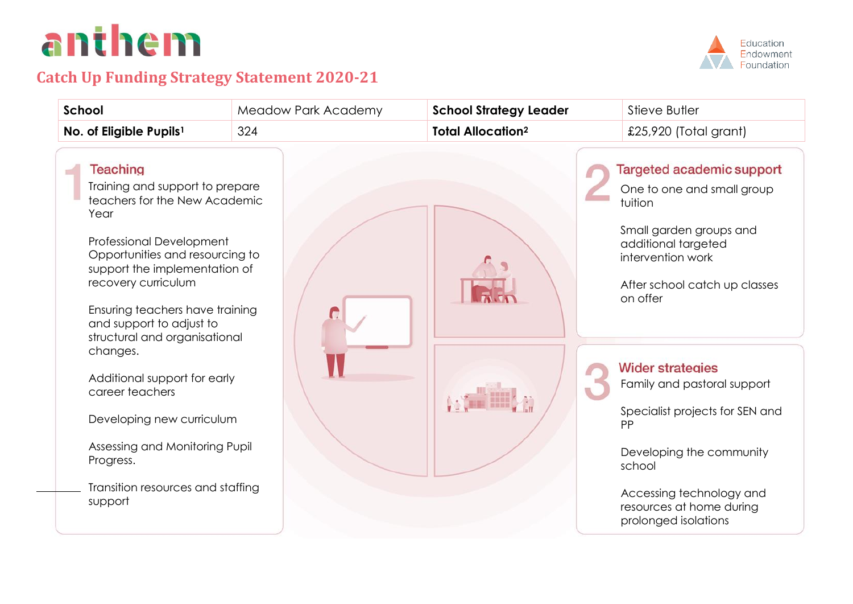# anthem

-

## **Catch Up Funding Strategy Statement 2020-21**



| School                                                                                                                                                                                                                                                                                                                                                                                                                                                                                                        | Meadow Park Academy | <b>School Strategy Leader</b>       | Stieve Butler                                                                                                                                                                                                                                                                                                                                                                                                          |
|---------------------------------------------------------------------------------------------------------------------------------------------------------------------------------------------------------------------------------------------------------------------------------------------------------------------------------------------------------------------------------------------------------------------------------------------------------------------------------------------------------------|---------------------|-------------------------------------|------------------------------------------------------------------------------------------------------------------------------------------------------------------------------------------------------------------------------------------------------------------------------------------------------------------------------------------------------------------------------------------------------------------------|
| No. of Eligible Pupils <sup>1</sup>                                                                                                                                                                                                                                                                                                                                                                                                                                                                           | 324                 | <b>Total Allocation<sup>2</sup></b> | £25,920 (Total grant)                                                                                                                                                                                                                                                                                                                                                                                                  |
| <b>Teaching</b><br>Training and support to prepare<br>teachers for the New Academic<br>Year<br>Professional Development<br>Opportunities and resourcing to<br>support the implementation of<br>recovery curriculum<br>Ensuring teachers have training<br>and support to adjust to<br>structural and organisational<br>changes.<br>Additional support for early<br>career teachers<br>Developing new curriculum<br>Assessing and Monitoring Pupil<br>Progress.<br>Transition resources and staffing<br>support |                     |                                     | <b>Targeted academic support</b><br>One to one and small group<br>tuition<br>Small garden groups and<br>additional targeted<br>intervention work<br>After school catch up classes<br>on offer<br><b>Wider strategies</b><br>Family and pastoral support<br>Specialist projects for SEN and<br>PP<br>Developing the community<br>school<br>Accessing technology and<br>resources at home during<br>prolonged isolations |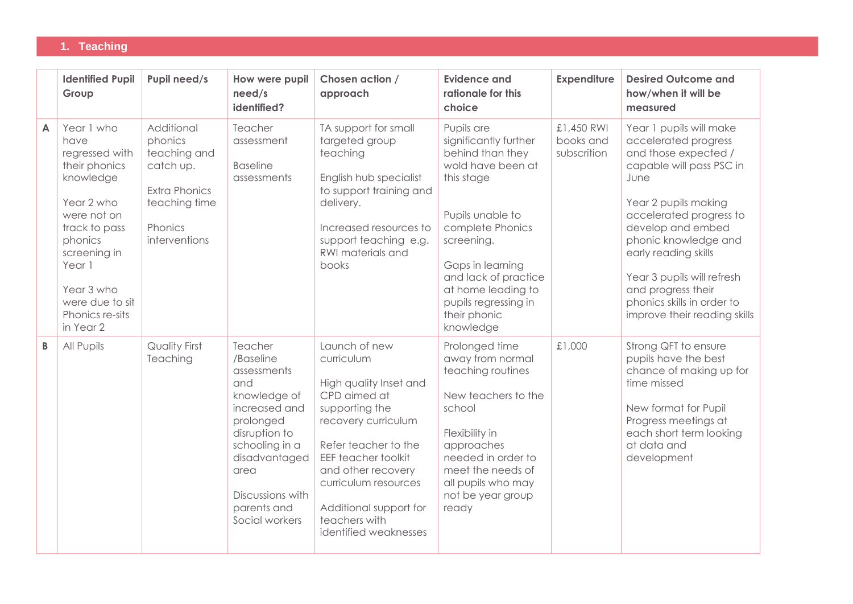#### **1. Teaching**

|                | <b>Identified Pupil</b><br>Group                                                                                                                                                                                       | Pupil need/s                                                                                                            | How were pupil<br>need/s<br>identified?                                                                                                                                                                   | Chosen action /<br>approach                                                                                                                                                                                                                                                            | <b>Evidence and</b><br>rationale for this<br>choice                                                                                                                                                                                                                     | <b>Expenditure</b>                     | <b>Desired Outcome and</b><br>how/when it will be<br>measured                                                                                                                                                                                                                                                                                         |
|----------------|------------------------------------------------------------------------------------------------------------------------------------------------------------------------------------------------------------------------|-------------------------------------------------------------------------------------------------------------------------|-----------------------------------------------------------------------------------------------------------------------------------------------------------------------------------------------------------|----------------------------------------------------------------------------------------------------------------------------------------------------------------------------------------------------------------------------------------------------------------------------------------|-------------------------------------------------------------------------------------------------------------------------------------------------------------------------------------------------------------------------------------------------------------------------|----------------------------------------|-------------------------------------------------------------------------------------------------------------------------------------------------------------------------------------------------------------------------------------------------------------------------------------------------------------------------------------------------------|
| $\overline{A}$ | Year 1 who<br>have<br>regressed with<br>their phonics<br>knowledge<br>Year 2 who<br>were not on<br>track to pass<br>phonics<br>screening in<br>Year 1<br>Year 3 who<br>were due to sit<br>Phonics re-sits<br>in Year 2 | Additional<br>phonics<br>teaching and<br>catch up.<br><b>Extra Phonics</b><br>teaching time<br>Phonics<br>interventions | Teacher<br>assessment<br><b>Baseline</b><br>assessments                                                                                                                                                   | TA support for small<br>targeted group<br>teaching<br>English hub specialist<br>to support training and<br>delivery.<br>Increased resources to<br>support teaching e.g.<br>RWI materials and<br>books                                                                                  | Pupils are<br>significantly further<br>behind than they<br>wold have been at<br>this stage<br>Pupils unable to<br>complete Phonics<br>screening.<br>Gaps in learning<br>and lack of practice<br>at home leading to<br>pupils regressing in<br>their phonic<br>knowledge | £1,450 RWI<br>books and<br>subscrition | Year 1 pupils will make<br>accelerated progress<br>and those expected /<br>capable will pass PSC in<br>June<br>Year 2 pupils making<br>accelerated progress to<br>develop and embed<br>phonic knowledge and<br>early reading skills<br>Year 3 pupils will refresh<br>and progress their<br>phonics skills in order to<br>improve their reading skills |
| B              | All Pupils                                                                                                                                                                                                             | <b>Quality First</b><br>Teaching                                                                                        | Teacher<br>/Baseline<br>assessments<br>and<br>knowledge of<br>increased and<br>prolonged<br>disruption to<br>schooling in a<br>disadvantaged<br>area<br>Discussions with<br>parents and<br>Social workers | Launch of new<br>curriculum<br>High quality Inset and<br>CPD aimed at<br>supporting the<br>recovery curriculum<br>Refer teacher to the<br><b>EEF teacher toolkit</b><br>and other recovery<br>curriculum resources<br>Additional support for<br>teachers with<br>identified weaknesses | Prolonged time<br>away from normal<br>teaching routines<br>New teachers to the<br>school<br>Flexibility in<br>approaches<br>needed in order to<br>meet the needs of<br>all pupils who may<br>not be year group<br>ready                                                 | £1,000                                 | Strong QFT to ensure<br>pupils have the best<br>chance of making up for<br>time missed<br>New format for Pupil<br>Progress meetings at<br>each short term looking<br>at data and<br>development                                                                                                                                                       |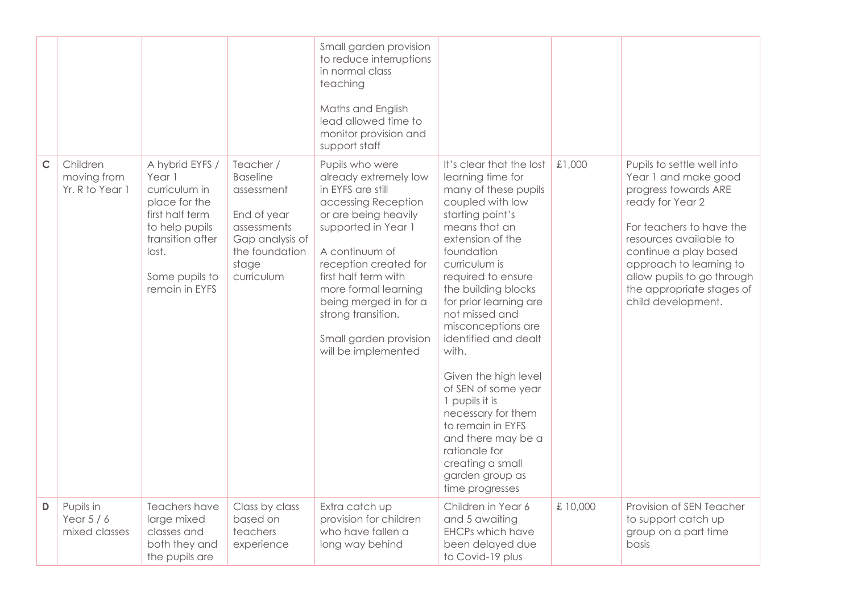|              |                                            |                                                                                                                                                                   |                                                                                                                                      | Small garden provision<br>to reduce interruptions<br>in normal class<br>teaching<br>Maths and English<br>lead allowed time to<br>monitor provision and<br>support staff                                                                                                                                                        |                                                                                                                                                                                                                                                                                                                                                                                                                                                                                                                                                |          |                                                                                                                                                                                                                                                                                           |
|--------------|--------------------------------------------|-------------------------------------------------------------------------------------------------------------------------------------------------------------------|--------------------------------------------------------------------------------------------------------------------------------------|--------------------------------------------------------------------------------------------------------------------------------------------------------------------------------------------------------------------------------------------------------------------------------------------------------------------------------|------------------------------------------------------------------------------------------------------------------------------------------------------------------------------------------------------------------------------------------------------------------------------------------------------------------------------------------------------------------------------------------------------------------------------------------------------------------------------------------------------------------------------------------------|----------|-------------------------------------------------------------------------------------------------------------------------------------------------------------------------------------------------------------------------------------------------------------------------------------------|
| $\mathsf{C}$ | Children<br>moving from<br>Yr. R to Year 1 | A hybrid EYFS /<br>Year 1<br>curriculum in<br>place for the<br>first half term<br>to help pupils<br>transition after<br>lost.<br>Some pupils to<br>remain in EYFS | Teacher /<br><b>Baseline</b><br>assessment<br>End of year<br>assessments<br>Gap analysis of<br>the foundation<br>stage<br>curriculum | Pupils who were<br>already extremely low<br>in EYFS are still<br>accessing Reception<br>or are being heavily<br>supported in Year 1<br>A continuum of<br>reception created for<br>first half term with<br>more formal learning<br>being merged in for a<br>strong transition.<br>Small garden provision<br>will be implemented | It's clear that the lost<br>learning time for<br>many of these pupils<br>coupled with low<br>starting point's<br>means that an<br>extension of the<br>foundation<br>curriculum is<br>required to ensure<br>the building blocks<br>for prior learning are<br>not missed and<br>misconceptions are<br>identified and dealt<br>with.<br>Given the high level<br>of SEN of some year<br>1 pupils it is<br>necessary for them<br>to remain in EYFS<br>and there may be a<br>rationale for<br>creating a small<br>garden group as<br>time progresses | £1,000   | Pupils to settle well into<br>Year 1 and make good<br>progress towards ARE<br>ready for Year 2<br>For teachers to have the<br>resources available to<br>continue a play based<br>approach to learning to<br>allow pupils to go through<br>the appropriate stages of<br>child development. |
| D            | Pupils in<br>Year $5/6$<br>mixed classes   | Teachers have<br>large mixed<br>classes and<br>both they and<br>the pupils are                                                                                    | Class by class<br>based on<br>teachers<br>experience                                                                                 | Extra catch up<br>provision for children<br>who have fallen a<br>long way behind                                                                                                                                                                                                                                               | Children in Year 6<br>and 5 awaiting<br><b>EHCPs which have</b><br>been delayed due<br>to Covid-19 plus                                                                                                                                                                                                                                                                                                                                                                                                                                        | £ 10,000 | Provision of SEN Teacher<br>to support catch up<br>group on a part time<br>basis                                                                                                                                                                                                          |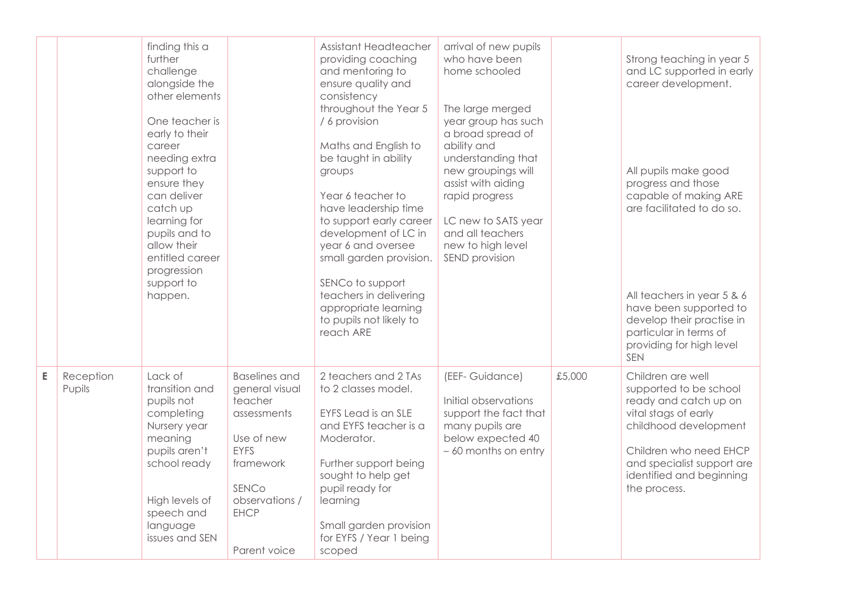|   |                     | finding this a<br>further<br>challenge<br>alongside the<br>other elements<br>One teacher is<br>early to their<br>career<br>needing extra<br>support to<br>ensure they<br>can deliver<br>catch up<br>learning for<br>pupils and to<br>allow their<br>entitled career<br>progression<br>support to<br>happen. |                                                                                                                                                                      | Assistant Headteacher<br>providing coaching<br>and mentoring to<br>ensure quality and<br>consistency<br>throughout the Year 5<br>/ 6 provision<br>Maths and English to<br>be taught in ability<br>groups<br>Year 6 teacher to<br>have leadership time<br>to support early career<br>development of LC in<br>year 6 and oversee<br>small garden provision.<br>SENCo to support<br>teachers in delivering<br>appropriate learning<br>to pupils not likely to<br>reach ARE | arrival of new pupils<br>who have been<br>home schooled<br>The large merged<br>year group has such<br>a broad spread of<br>ability and<br>understanding that<br>new groupings will<br>assist with aiding<br>rapid progress<br>LC new to SATS year<br>and all teachers<br>new to high level<br>SEND provision |        | Strong teaching in year 5<br>and LC supported in early<br>career development.<br>All pupils make good<br>progress and those<br>capable of making ARE<br>are facilitated to do so.<br>All teachers in year 5 & 6<br>have been supported to<br>develop their practise in<br>particular in terms of<br>providing for high level |
|---|---------------------|-------------------------------------------------------------------------------------------------------------------------------------------------------------------------------------------------------------------------------------------------------------------------------------------------------------|----------------------------------------------------------------------------------------------------------------------------------------------------------------------|-------------------------------------------------------------------------------------------------------------------------------------------------------------------------------------------------------------------------------------------------------------------------------------------------------------------------------------------------------------------------------------------------------------------------------------------------------------------------|--------------------------------------------------------------------------------------------------------------------------------------------------------------------------------------------------------------------------------------------------------------------------------------------------------------|--------|------------------------------------------------------------------------------------------------------------------------------------------------------------------------------------------------------------------------------------------------------------------------------------------------------------------------------|
| E | Reception<br>Pupils | Lack of<br>transition and<br>pupils not<br>completing<br>Nursery year<br>meaning<br>pupils aren't<br>school ready<br>High levels of<br>speech and<br>language<br>issues and SEN                                                                                                                             | <b>Baselines and</b><br>general visual<br>teacher<br>assessments<br>Use of new<br><b>EYFS</b><br>framework<br>SENCo<br>observations /<br><b>EHCP</b><br>Parent voice | 2 teachers and 2 TAs<br>to 2 classes model.<br><b>EYFS Lead is an SLE</b><br>and EYFS teacher is a<br>Moderator.<br>Further support being<br>sought to help get<br>pupil ready for<br>learning<br>Small garden provision<br>for EYFS / Year 1 being<br>scoped                                                                                                                                                                                                           | (EEF- Guidance)<br>Initial observations<br>support the fact that<br>many pupils are<br>below expected 40<br>- 60 months on entry                                                                                                                                                                             | £5,000 | <b>SEN</b><br>Children are well<br>supported to be school<br>ready and catch up on<br>vital stags of early<br>childhood development<br>Children who need EHCP<br>and specialist support are<br>identified and beginning<br>the process.                                                                                      |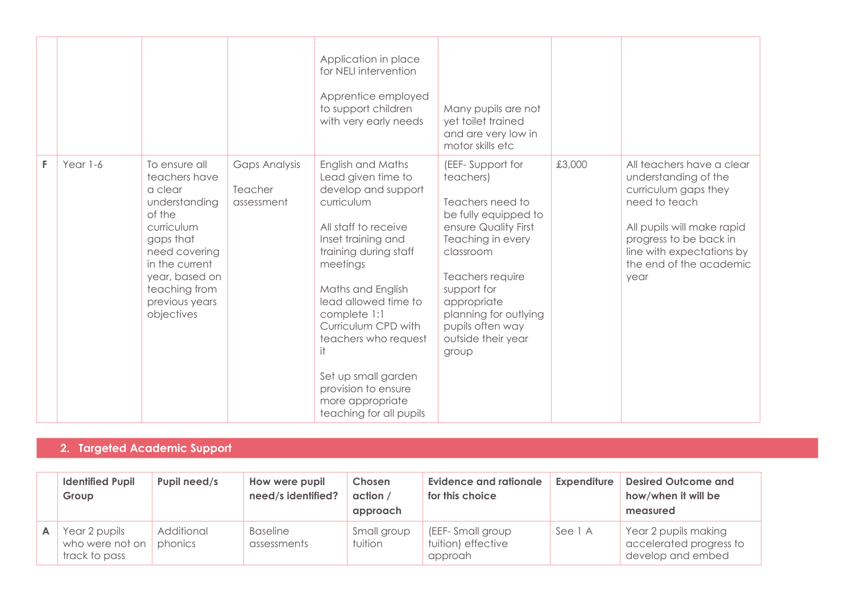|    |          |                                                                                                                                                                                                       |                                               | Application in place<br>for NELI intervention<br>Apprentice employed<br>to support children<br>with very early needs                                                                                                                                                                                                                                                     | Many pupils are not<br>yet toilet trained<br>and are very low in<br>motor skills etc                                                                                                                                                                              |        |                                                                                                                                                                                                                    |
|----|----------|-------------------------------------------------------------------------------------------------------------------------------------------------------------------------------------------------------|-----------------------------------------------|--------------------------------------------------------------------------------------------------------------------------------------------------------------------------------------------------------------------------------------------------------------------------------------------------------------------------------------------------------------------------|-------------------------------------------------------------------------------------------------------------------------------------------------------------------------------------------------------------------------------------------------------------------|--------|--------------------------------------------------------------------------------------------------------------------------------------------------------------------------------------------------------------------|
| F. | Year 1-6 | To ensure all<br>teachers have<br>a clear<br>understanding<br>of the<br>curriculum<br>gaps that<br>need covering<br>in the current<br>year, based on<br>teaching from<br>previous years<br>objectives | <b>Gaps Analysis</b><br>Teacher<br>assessment | English and Maths<br>Lead given time to<br>develop and support<br>curriculum<br>All staff to receive<br>Inset training and<br>training during staff<br>meetings<br>Maths and English<br>lead allowed time to<br>complete 1:1<br>Curriculum CPD with<br>teachers who request<br>Set up small garden<br>provision to ensure<br>more appropriate<br>teaching for all pupils | (EEF-Support for<br>teachers)<br>Teachers need to<br>be fully equipped to<br>ensure Quality First<br>Teaching in every<br>classroom<br>Teachers require<br>support for<br>appropriate<br>planning for outlying<br>pupils often way<br>outside their year<br>group | £3,000 | All teachers have a clear<br>understanding of the<br>curriculum gaps they<br>need to teach<br>All pupils will make rapid<br>progress to be back in<br>line with expectations by<br>the end of the academic<br>year |

### **2. Targeted Academic Support**

|   | <b>Identified Pupil</b><br>Group                  | Pupil need/s          | How were pupil<br>need/s identified? | Chosen<br>action /<br>approach | <b>Evidence and rationale</b><br>for this choice  | <b>Expenditure</b> | <b>Desired Outcome and</b><br>how/when it will be<br>measured        |
|---|---------------------------------------------------|-----------------------|--------------------------------------|--------------------------------|---------------------------------------------------|--------------------|----------------------------------------------------------------------|
| A | Year 2 pupils<br>who were not on<br>track to pass | Additional<br>phonics | <b>Baseline</b><br>assessments       | Small group<br>tuition         | (EEF-Small group<br>tuition) effective<br>approah | See 1 A            | Year 2 pupils making<br>accelerated progress to<br>develop and embed |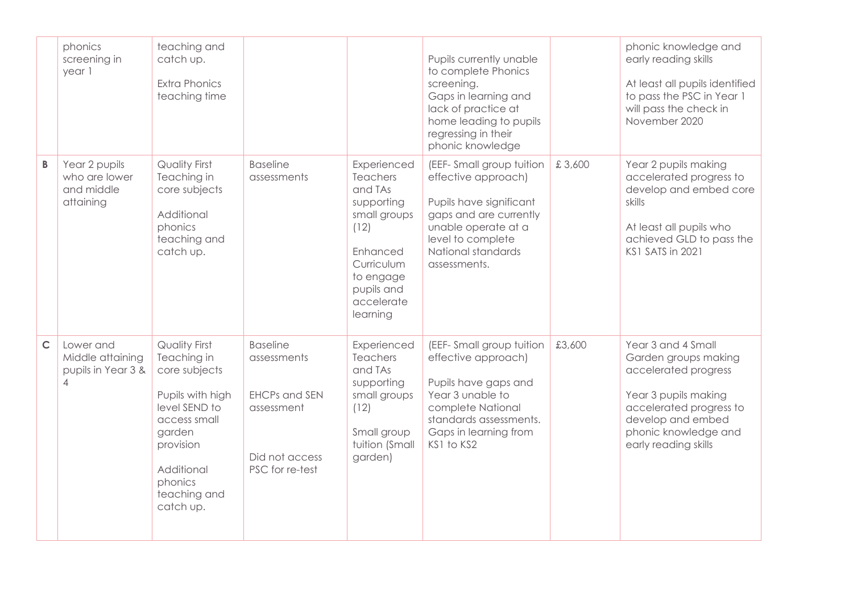|             | phonics<br>screening in<br>year 1                                     | teaching and<br>catch up.<br><b>Extra Phonics</b><br>teaching time                                                                                                                     |                                                                                                           |                                                                                                                                                                | Pupils currently unable<br>to complete Phonics<br>screening.<br>Gaps in learning and<br>lack of practice at<br>home leading to pupils<br>regressing in their<br>phonic knowledge       |        | phonic knowledge and<br>early reading skills<br>At least all pupils identified<br>to pass the PSC in Year 1<br>will pass the check in<br>November 2020                                     |
|-------------|-----------------------------------------------------------------------|----------------------------------------------------------------------------------------------------------------------------------------------------------------------------------------|-----------------------------------------------------------------------------------------------------------|----------------------------------------------------------------------------------------------------------------------------------------------------------------|----------------------------------------------------------------------------------------------------------------------------------------------------------------------------------------|--------|--------------------------------------------------------------------------------------------------------------------------------------------------------------------------------------------|
| B           | Year 2 pupils<br>who are lower<br>and middle<br>attaining             | <b>Quality First</b><br>Teaching in<br>core subjects<br>Additional<br>phonics<br>teaching and<br>catch up.                                                                             | <b>Baseline</b><br>assessments                                                                            | Experienced<br><b>Teachers</b><br>and TAs<br>supporting<br>small groups<br>(12)<br>Enhanced<br>Curriculum<br>to engage<br>pupils and<br>accelerate<br>learning | (EEF-Small group tuition<br>effective approach)<br>Pupils have significant<br>gaps and are currently<br>unable operate at a<br>level to complete<br>National standards<br>assessments. | £3,600 | Year 2 pupils making<br>accelerated progress to<br>develop and embed core<br>skills<br>At least all pupils who<br>achieved GLD to pass the<br><b>KS1 SATS in 2021</b>                      |
| $\mathsf C$ | Lower and<br>Middle attaining<br>pupils in Year 3 &<br>$\overline{4}$ | <b>Quality First</b><br>Teaching in<br>core subjects<br>Pupils with high<br>level SEND to<br>access small<br>garden<br>provision<br>Additional<br>phonics<br>teaching and<br>catch up. | <b>Baseline</b><br>assessments<br><b>EHCPs and SEN</b><br>assessment<br>Did not access<br>PSC for re-test | Experienced<br><b>Teachers</b><br>and TAs<br>supporting<br>small groups<br>(12)<br>Small group<br>tuition (Small<br>garden)                                    | (EEF-Small group tuition<br>effective approach)<br>Pupils have gaps and<br>Year 3 unable to<br>complete National<br>standards assessments.<br>Gaps in learning from<br>KS1 to KS2      | £3,600 | Year 3 and 4 Small<br>Garden groups making<br>accelerated progress<br>Year 3 pupils making<br>accelerated progress to<br>develop and embed<br>phonic knowledge and<br>early reading skills |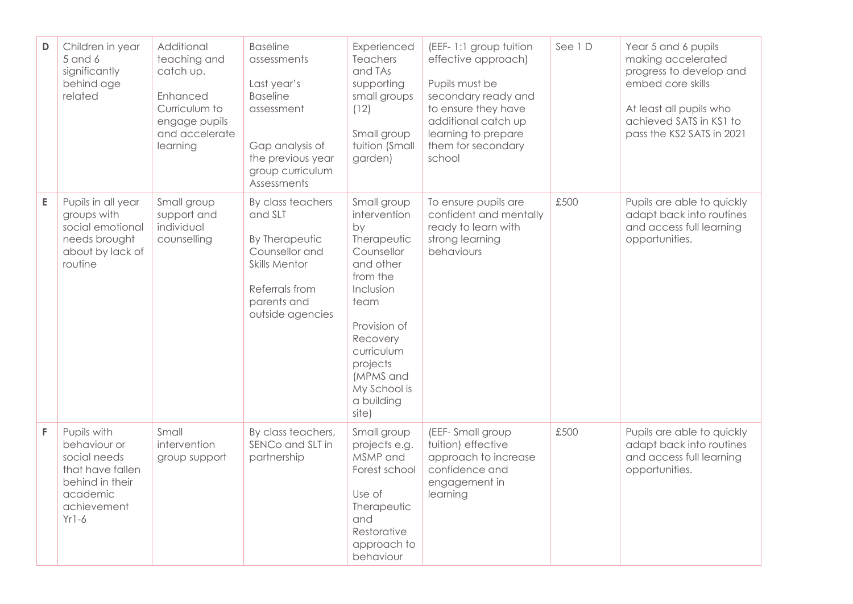| D | Children in year<br>5 and 6<br>significantly<br>behind age<br>related                                                    | Additional<br>teaching and<br>catch up.<br>Enhanced<br>Curriculum to<br>engage pupils<br>and accelerate<br>learning | <b>Baseline</b><br>assessments<br>Last year's<br><b>Baseline</b><br>assessment<br>Gap analysis of<br>the previous year<br>group curriculum<br>Assessments | Experienced<br>Teachers<br>and TAs<br>supporting<br>small groups<br>(12)<br>Small group<br>tuition (Small<br>garden)                                                                                                   | (EEF-1:1 group tuition<br>effective approach)<br>Pupils must be<br>secondary ready and<br>to ensure they have<br>additional catch up<br>learning to prepare<br>them for secondary<br>school | See 1D | Year 5 and 6 pupils<br>making accelerated<br>progress to develop and<br>embed core skills<br>At least all pupils who<br>achieved SATS in KS1 to<br>pass the KS2 SATS in 2021 |
|---|--------------------------------------------------------------------------------------------------------------------------|---------------------------------------------------------------------------------------------------------------------|-----------------------------------------------------------------------------------------------------------------------------------------------------------|------------------------------------------------------------------------------------------------------------------------------------------------------------------------------------------------------------------------|---------------------------------------------------------------------------------------------------------------------------------------------------------------------------------------------|--------|------------------------------------------------------------------------------------------------------------------------------------------------------------------------------|
| E | Pupils in all year<br>groups with<br>social emotional<br>needs brought<br>about by lack of<br>routine                    | Small group<br>support and<br>individual<br>counselling                                                             | By class teachers<br>and SLT<br>By Therapeutic<br>Counsellor and<br><b>Skills Mentor</b><br>Referrals from<br>parents and<br>outside agencies             | Small group<br>intervention<br>bv<br>Therapeutic<br>Counsellor<br>and other<br>from the<br>Inclusion<br>team<br>Provision of<br>Recovery<br>curriculum<br>projects<br>(MPMS and<br>My School is<br>a building<br>site) | To ensure pupils are<br>confident and mentally<br>ready to learn with<br>strong learning<br>behaviours                                                                                      | £500   | Pupils are able to quickly<br>adapt back into routines<br>and access full learning<br>opportunities.                                                                         |
| F | Pupils with<br>behaviour or<br>social needs<br>that have fallen<br>behind in their<br>academic<br>achievement<br>$Yr1-6$ | Small<br>intervention<br>group support                                                                              | By class teachers,<br>SENCo and SLT in<br>partnership                                                                                                     | Small group<br>projects e.g.<br>MSMP and<br>Forest school<br>Use of<br>Therapeutic<br>and<br>Restorative<br>approach to<br>behaviour                                                                                   | (EEF-Small group<br>tuition) effective<br>approach to increase<br>confidence and<br>engagement in<br>learning                                                                               | £500   | Pupils are able to quickly<br>adapt back into routines<br>and access full learning<br>opportunities.                                                                         |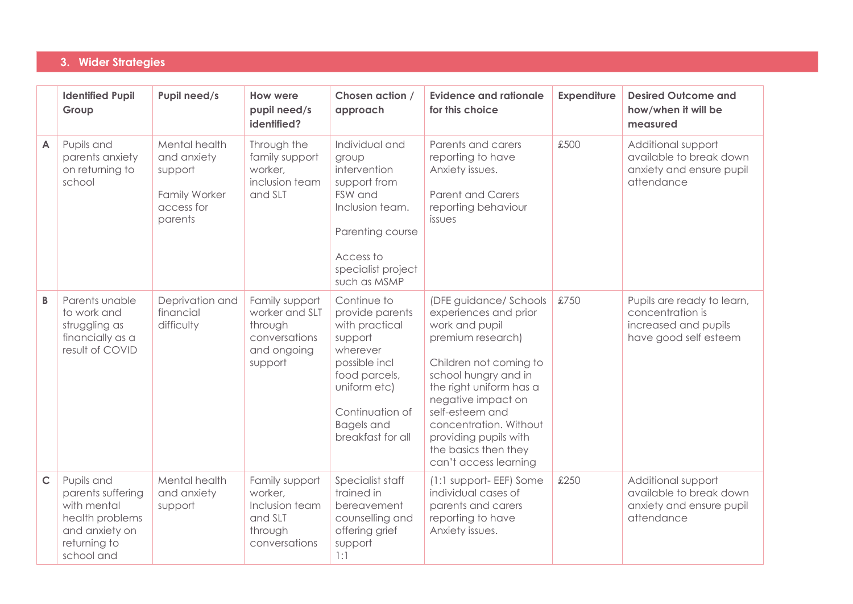#### **3. Wider Strategies**

|              | <b>Identified Pupil</b><br>Group                                                                                  | Pupil need/s                                                                      | How were<br>pupil need/s<br>identified?                                                | Chosen action /<br>approach                                                                                                                                                            | <b>Evidence and rationale</b><br>for this choice                                                                                                                                                                                                                                                                 | <b>Expenditure</b> | <b>Desired Outcome and</b><br>how/when it will be<br>measured                                   |
|--------------|-------------------------------------------------------------------------------------------------------------------|-----------------------------------------------------------------------------------|----------------------------------------------------------------------------------------|----------------------------------------------------------------------------------------------------------------------------------------------------------------------------------------|------------------------------------------------------------------------------------------------------------------------------------------------------------------------------------------------------------------------------------------------------------------------------------------------------------------|--------------------|-------------------------------------------------------------------------------------------------|
| A            | Pupils and<br>parents anxiety<br>on returning to<br>school                                                        | Mental health<br>and anxiety<br>support<br>Family Worker<br>access for<br>parents | Through the<br>family support<br>worker,<br>inclusion team<br>and SLT                  | Individual and<br>group<br>intervention<br>support from<br>FSW and<br>Inclusion team.<br>Parenting course<br>Access to<br>specialist project<br>such as MSMP                           | Parents and carers<br>reporting to have<br>Anxiety issues.<br><b>Parent and Carers</b><br>reporting behaviour<br>issues                                                                                                                                                                                          | £500               | Additional support<br>available to break down<br>anxiety and ensure pupil<br>attendance         |
| B            | Parents unable<br>to work and<br>struggling as<br>financially as a<br>result of COVID                             | Deprivation and<br>financial<br>difficulty                                        | Family support<br>worker and SLT<br>through<br>conversations<br>and ongoing<br>support | Continue to<br>provide parents<br>with practical<br>support<br>wherever<br>possible incl<br>food parcels,<br>uniform etc)<br>Continuation of<br><b>Bagels</b> and<br>breakfast for all | (DFE guidance/ Schools<br>experiences and prior<br>work and pupil<br>premium research)<br>Children not coming to<br>school hungry and in<br>the right uniform has a<br>negative impact on<br>self-esteem and<br>concentration. Without<br>providing pupils with<br>the basics then they<br>can't access learning | £750               | Pupils are ready to learn,<br>concentration is<br>increased and pupils<br>have good self esteem |
| $\mathsf{C}$ | Pupils and<br>parents suffering<br>with mental<br>health problems<br>and anxiety on<br>returning to<br>school and | Mental health<br>and anxiety<br>support                                           | Family support<br>worker,<br>Inclusion team<br>and SLT<br>through<br>conversations     | Specialist staff<br>trained in<br>bereavement<br>counselling and<br>offering grief<br>support<br>1:1                                                                                   | (1:1 support- EEF) Some<br>individual cases of<br>parents and carers<br>reporting to have<br>Anxiety issues.                                                                                                                                                                                                     | £250               | Additional support<br>available to break down<br>anxiety and ensure pupil<br>attendance         |